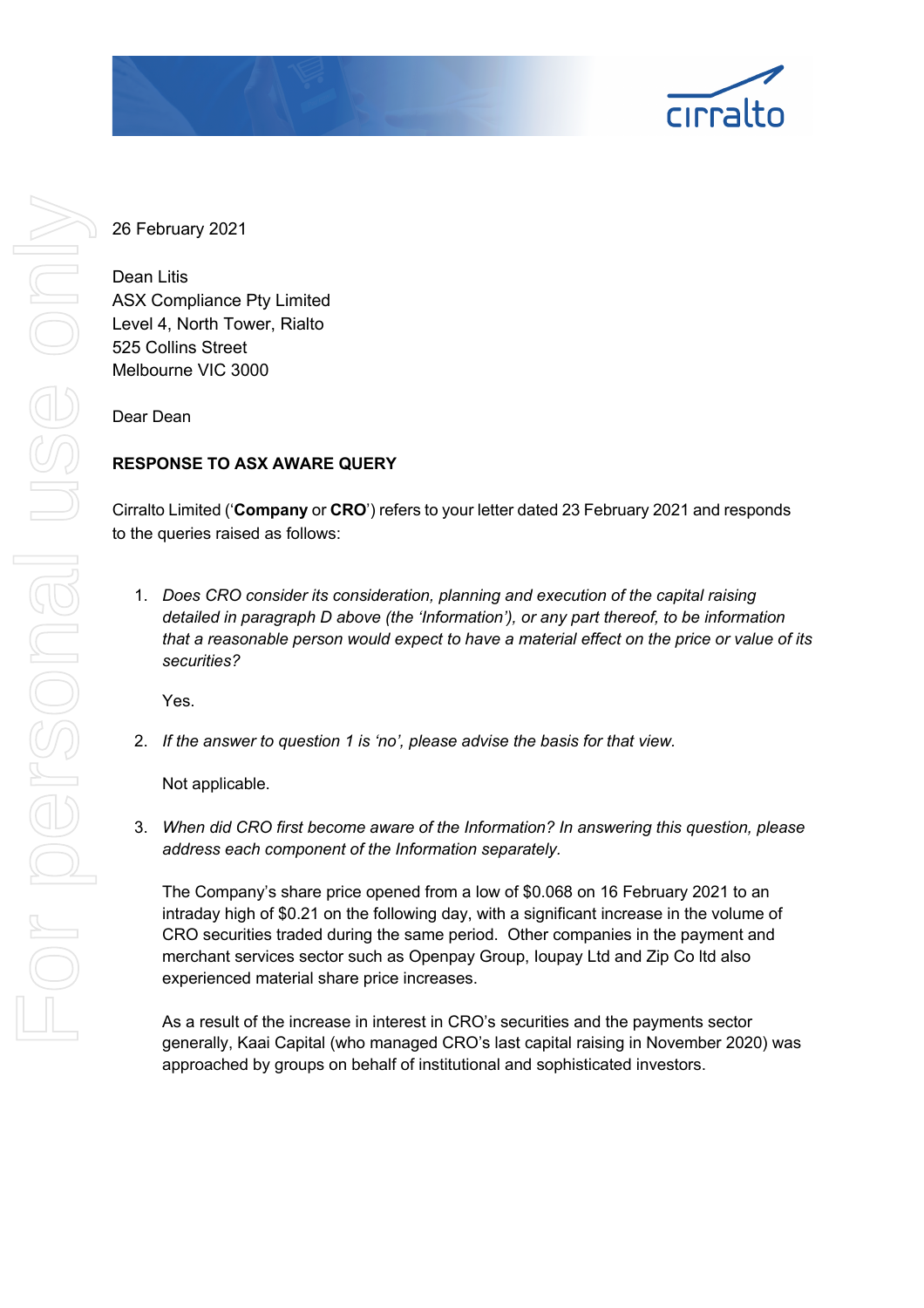

26 February 2021

Dean Litis ASX Compliance Pty Limited Level 4, North Tower, Rialto 525 Collins Street Melbourne VIC 3000

Dear Dean

# **RESPONSE TO ASX AWARE QUERY**

Cirralto Limited ('**Company** or **CRO**') refers to your letter dated 23 February 2021 and responds to the queries raised as follows:

1. *Does CRO consider its consideration, planning and execution of the capital raising detailed in paragraph D above (the 'Information'), or any part thereof, to be information that a reasonable person would expect to have a material effect on the price or value of its securities?*

Yes.

2. *If the answer to question 1 is 'no', please advise the basis for that view.* 

Not applicable.

3. *When did CRO first become aware of the Information? In answering this question, please address each component of the Information separately.*

The Company's share price opened from a low of \$0.068 on 16 February 2021 to an intraday high of \$0.21 on the following day, with a significant increase in the volume of CRO securities traded during the same period. Other companies in the payment and merchant services sector such as Openpay Group, Ioupay Ltd and Zip Co ltd also experienced material share price increases.

As a result of the increase in interest in CRO's securities and the payments sector generally, Kaai Capital (who managed CRO's last capital raising in November 2020) was approached by groups on behalf of institutional and sophisticated investors.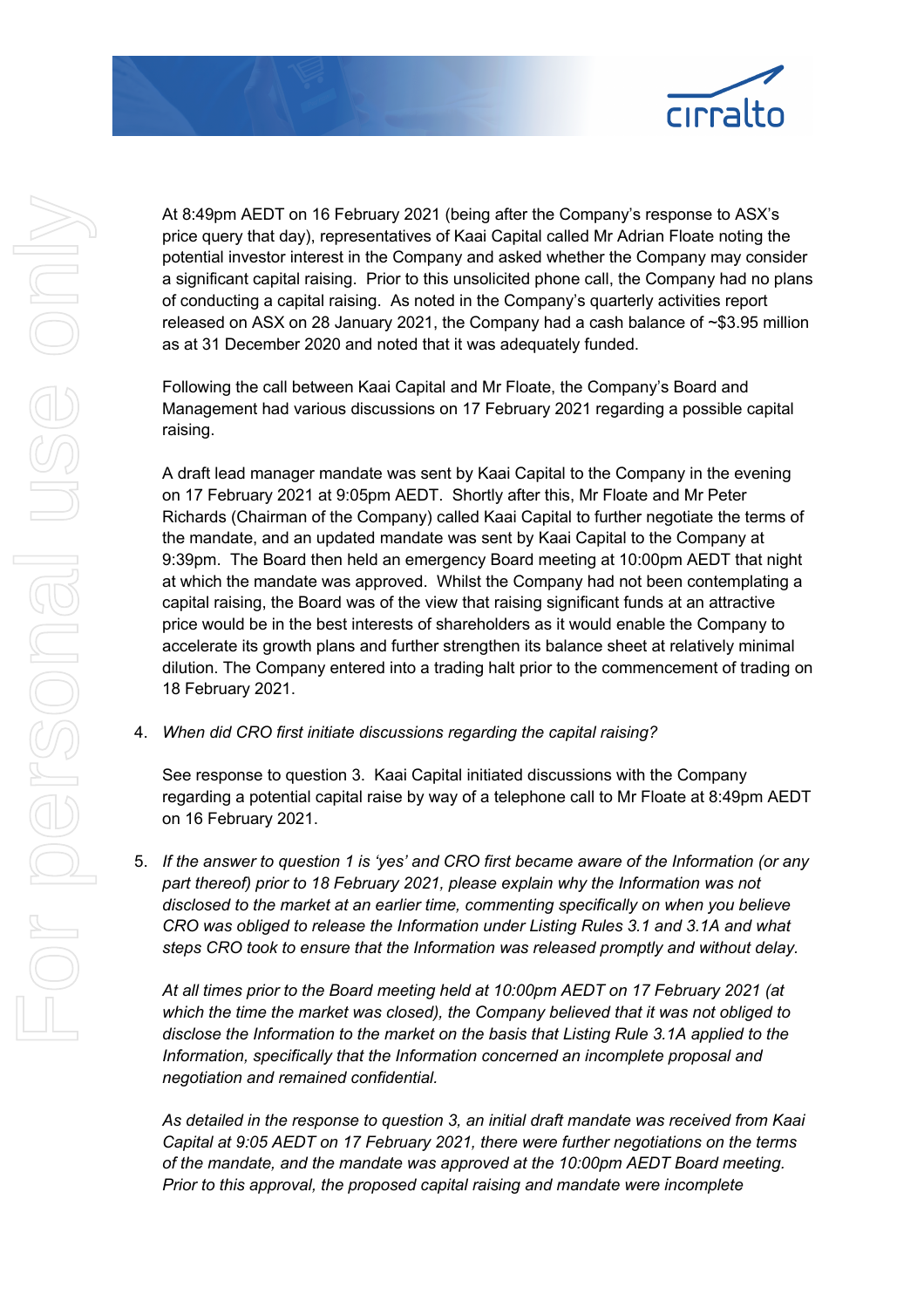

At 8:49pm AEDT on 16 February 2021 (being after the Company's response to ASX's price query that day), representatives of Kaai Capital called Mr Adrian Floate noting the potential investor interest in the Company and asked whether the Company may consider a significant capital raising. Prior to this unsolicited phone call, the Company had no plans of conducting a capital raising. As noted in the Company's quarterly activities report released on ASX on 28 January 2021, the Company had a cash balance of ~\$3.95 million as at 31 December 2020 and noted that it was adequately funded.

Following the call between Kaai Capital and Mr Floate, the Company's Board and Management had various discussions on 17 February 2021 regarding a possible capital raising.

A draft lead manager mandate was sent by Kaai Capital to the Company in the evening on 17 February 2021 at 9:05pm AEDT. Shortly after this, Mr Floate and Mr Peter Richards (Chairman of the Company) called Kaai Capital to further negotiate the terms of the mandate, and an updated mandate was sent by Kaai Capital to the Company at 9:39pm. The Board then held an emergency Board meeting at 10:00pm AEDT that night at which the mandate was approved. Whilst the Company had not been contemplating a capital raising, the Board was of the view that raising significant funds at an attractive price would be in the best interests of shareholders as it would enable the Company to accelerate its growth plans and further strengthen its balance sheet at relatively minimal dilution. The Company entered into a trading halt prior to the commencement of trading on 18 February 2021.

4. *When did CRO first initiate discussions regarding the capital raising?*

See response to question 3. Kaai Capital initiated discussions with the Company regarding a potential capital raise by way of a telephone call to Mr Floate at 8:49pm AEDT on 16 February 2021.

5. *If the answer to question 1 is 'yes' and CRO first became aware of the Information (or any part thereof) prior to 18 February 2021, please explain why the Information was not disclosed to the market at an earlier time, commenting specifically on when you believe CRO was obliged to release the Information under Listing Rules 3.1 and 3.1A and what steps CRO took to ensure that the Information was released promptly and without delay.* 

*At all times prior to the Board meeting held at 10:00pm AEDT on 17 February 2021 (at which the time the market was closed), the Company believed that it was not obliged to disclose the Information to the market on the basis that Listing Rule 3.1A applied to the Information, specifically that the Information concerned an incomplete proposal and negotiation and remained confidential.* 

*As detailed in the response to question 3, an initial draft mandate was received from Kaai Capital at 9:05 AEDT on 17 February 2021, there were further negotiations on the terms of the mandate, and the mandate was approved at the 10:00pm AEDT Board meeting. Prior to this approval, the proposed capital raising and mandate were incomplete*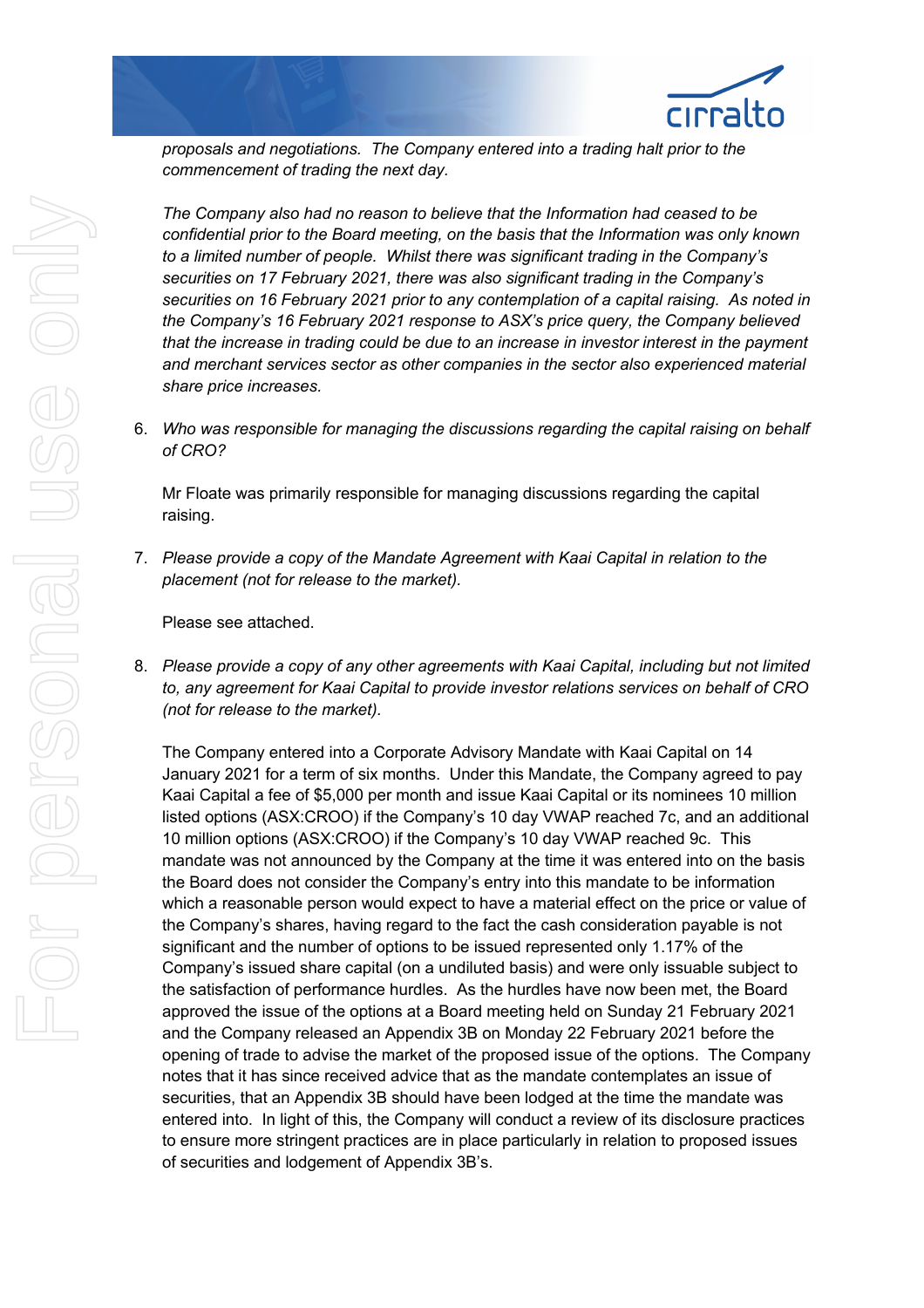

*proposals and negotiations. The Company entered into a trading halt prior to the commencement of trading the next day.* 

*The Company also had no reason to believe that the Information had ceased to be confidential prior to the Board meeting, on the basis that the Information was only known to a limited number of people. Whilst there was significant trading in the Company's securities on 17 February 2021, there was also significant trading in the Company's securities on 16 February 2021 prior to any contemplation of a capital raising. As noted in the Company's 16 February 2021 response to ASX's price query, the Company believed that the increase in trading could be due to an increase in investor interest in the payment and merchant services sector as other companies in the sector also experienced material share price increases.* 

6. *Who was responsible for managing the discussions regarding the capital raising on behalf of CRO?*

Mr Floate was primarily responsible for managing discussions regarding the capital raising.

7. *Please provide a copy of the Mandate Agreement with Kaai Capital in relation to the placement (not for release to the market).*

Please see attached.

8. *Please provide a copy of any other agreements with Kaai Capital, including but not limited to, any agreement for Kaai Capital to provide investor relations services on behalf of CRO (not for release to the market).* 

The Company entered into a Corporate Advisory Mandate with Kaai Capital on 14 January 2021 for a term of six months. Under this Mandate, the Company agreed to pay Kaai Capital a fee of \$5,000 per month and issue Kaai Capital or its nominees 10 million listed options (ASX:CROO) if the Company's 10 day VWAP reached 7c, and an additional 10 million options (ASX:CROO) if the Company's 10 day VWAP reached 9c. This mandate was not announced by the Company at the time it was entered into on the basis the Board does not consider the Company's entry into this mandate to be information which a reasonable person would expect to have a material effect on the price or value of the Company's shares, having regard to the fact the cash consideration payable is not significant and the number of options to be issued represented only 1.17% of the Company's issued share capital (on a undiluted basis) and were only issuable subject to the satisfaction of performance hurdles. As the hurdles have now been met, the Board approved the issue of the options at a Board meeting held on Sunday 21 February 2021 and the Company released an Appendix 3B on Monday 22 February 2021 before the opening of trade to advise the market of the proposed issue of the options. The Company notes that it has since received advice that as the mandate contemplates an issue of securities, that an Appendix 3B should have been lodged at the time the mandate was entered into. In light of this, the Company will conduct a review of its disclosure practices to ensure more stringent practices are in place particularly in relation to proposed issues of securities and lodgement of Appendix 3B's.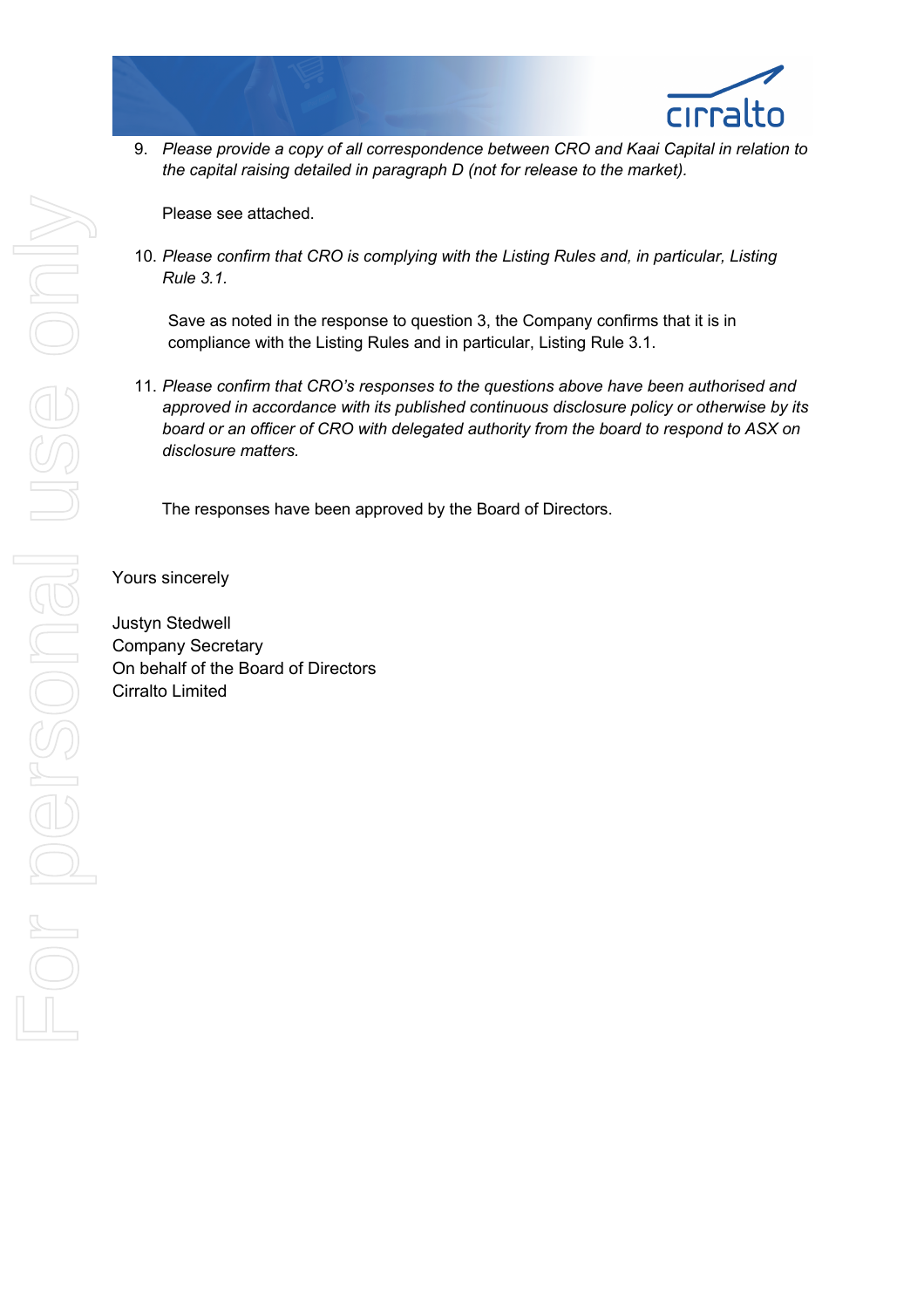9. *Please provide a copy of all correspondence between CRO and Kaai Capital in relation to the capital raising detailed in paragraph D (not for release to the market).* 

Please see attached.

10. *Please confirm that CRO is complying with the Listing Rules and, in particular, Listing Rule 3.1.*

Save as noted in the response to question 3, the Company confirms that it is in compliance with the Listing Rules and in particular, Listing Rule 3.1.

11. *Please confirm that CRO's responses to the questions above have been authorised and approved in accordance with its published continuous disclosure policy or otherwise by its board or an officer of CRO with delegated authority from the board to respond to ASX on disclosure matters.*

The responses have been approved by the Board of Directors.

Yours sincerely

Justyn Stedwell Company Secretary On behalf of the Board of Directors Cirralto Limited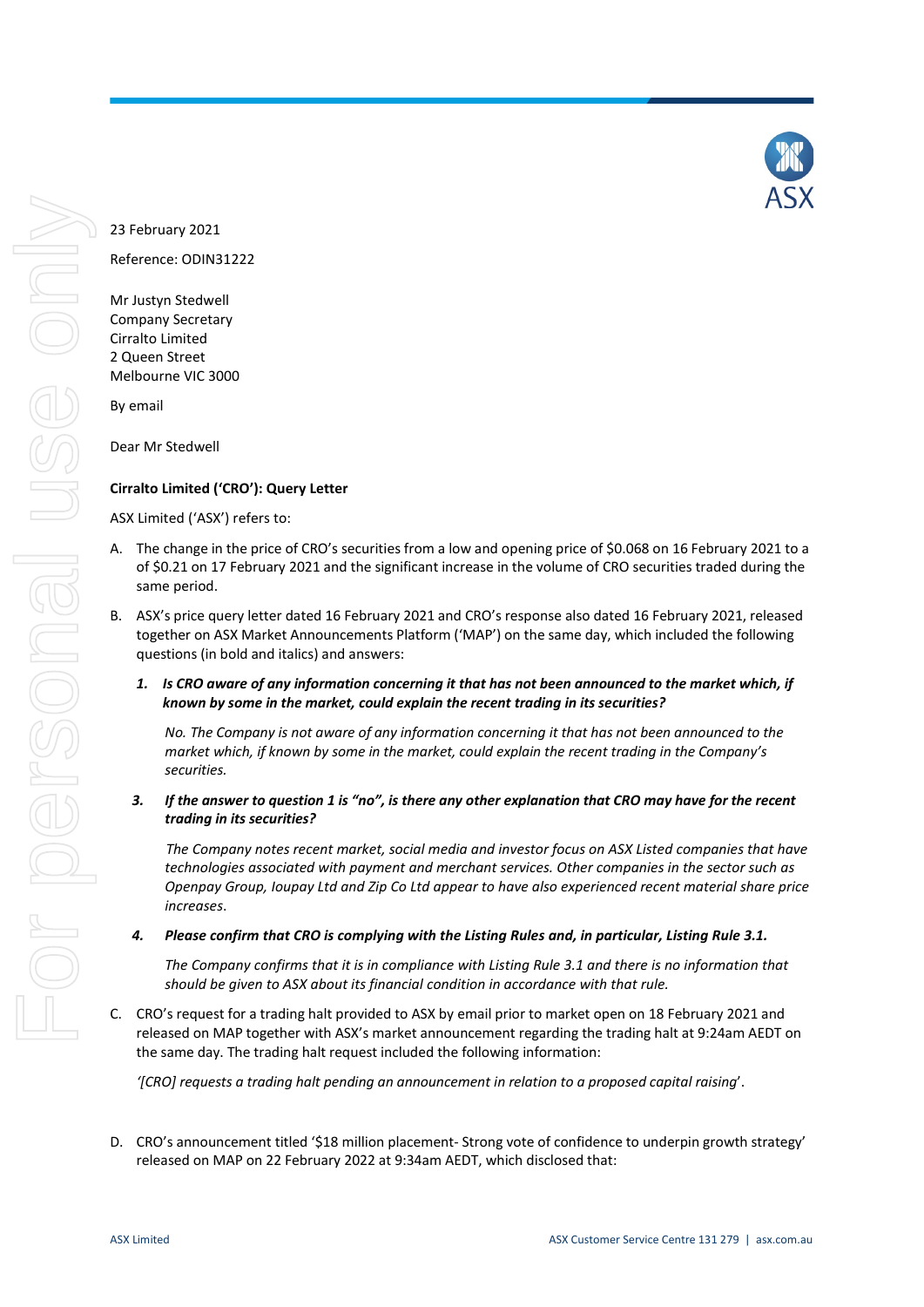

# 23 February 2021

Reference: ODIN31222

Mr Justyn Stedwell Company Secretary Cirralto Limited 2 Queen Street Melbourne VIC 3000

By email

Dear Mr Stedwell

# **Cirralto Limited ('CRO'): Query Letter**

ASX Limited ('ASX') refers to:

- A. The change in the price of CRO's securities from a low and opening price of \$0.068 on 16 February 2021 to a of \$0.21 on 17 February 2021 and the significant increase in the volume of CRO securities traded during the same period.
- B. ASX's price query letter dated 16 February 2021 and CRO's response also dated 16 February 2021, released together on ASX Market Announcements Platform ('MAP') on the same day, which included the following questions (in bold and italics) and answers:
	- *1. Is CRO aware of any information concerning it that has not been announced to the market which, if known by some in the market, could explain the recent trading in its securities?*

*No. The Company is not aware of any information concerning it that has not been announced to the market which, if known by some in the market, could explain the recent trading in the Company's securities.*

*3. If the answer to question 1 is "no", is there any other explanation that CRO may have for the recent trading in its securities?*

*The Company notes recent market, social media and investor focus on ASX Listed companies that have technologies associated with payment and merchant services. Other companies in the sector such as Openpay Group, Ioupay Ltd and Zip Co Ltd appear to have also experienced recent material share price increases*.

*4. Please confirm that CRO is complying with the Listing Rules and, in particular, Listing Rule 3.1.*

*The Company confirms that it is in compliance with Listing Rule 3.1 and there is no information that should be given to ASX about its financial condition in accordance with that rule.*

C. CRO's request for a trading halt provided to ASX by email prior to market open on 18 February 2021 and released on MAP together with ASX's market announcement regarding the trading halt at 9:24am AEDT on the same day. The trading halt request included the following information:

*'[CRO] requests a trading halt pending an announcement in relation to a proposed capital raising*'.

D. CRO's announcement titled '\$18 million placement- Strong vote of confidence to underpin growth strategy' released on MAP on 22 February 2022 at 9:34am AEDT, which disclosed that: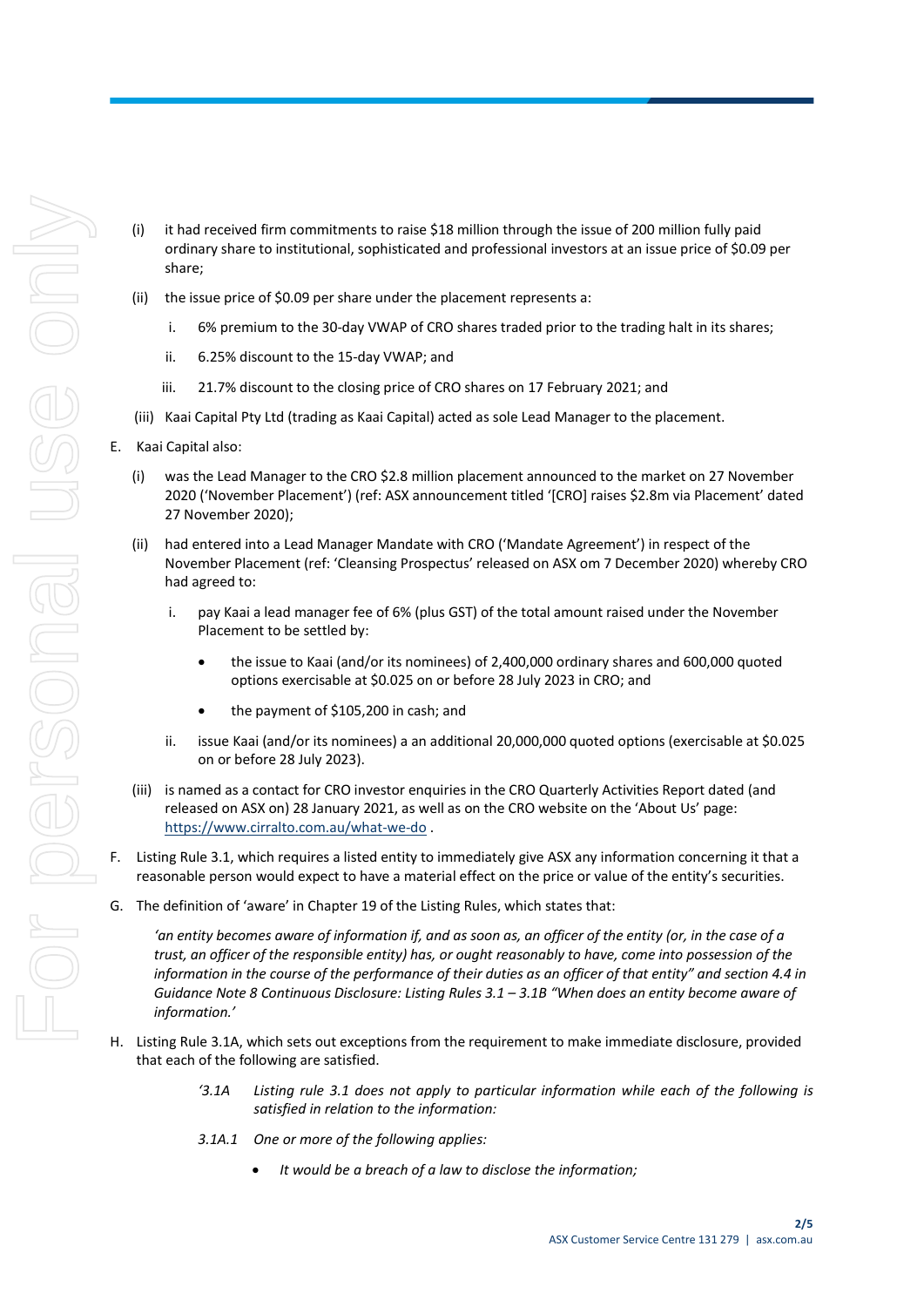- (i) it had received firm commitments to raise \$18 million through the issue of 200 million fully paid ordinary share to institutional, sophisticated and professional investors at an issue price of \$0.09 per share;
- (ii) the issue price of \$0.09 per share under the placement represents a:
	- i. 6% premium to the 30-day VWAP of CRO shares traded prior to the trading halt in its shares;
	- ii. 6.25% discount to the 15-day VWAP; and
	- iii. 21.7% discount to the closing price of CRO shares on 17 February 2021; and
- (iii) Kaai Capital Pty Ltd (trading as Kaai Capital) acted as sole Lead Manager to the placement.
- E. Kaai Capital also:
	- (i) was the Lead Manager to the CRO \$2.8 million placement announced to the market on 27 November 2020 ('November Placement') (ref: ASX announcement titled '[CRO] raises \$2.8m via Placement' dated 27 November 2020);
	- (ii) had entered into a Lead Manager Mandate with CRO ('Mandate Agreement') in respect of the November Placement (ref: 'Cleansing Prospectus' released on ASX om 7 December 2020) whereby CRO had agreed to:
		- i. pay Kaai a lead manager fee of 6% (plus GST) of the total amount raised under the November Placement to be settled by:
			- the issue to Kaai (and/or its nominees) of 2,400,000 ordinary shares and 600,000 quoted options exercisable at \$0.025 on or before 28 July 2023 in CRO; and
			- the payment of \$105,200 in cash; and
		- ii. issue Kaai (and/or its nominees) a an additional 20,000,000 quoted options (exercisable at \$0.025 on or before 28 July 2023).
	- (iii) is named as a contact for CRO investor enquiries in the CRO Quarterly Activities Report dated (and released on ASX on) 28 January 2021, as well as on the CRO website on the 'About Us' page: <https://www.cirralto.com.au/what-we-do> .
- F. Listing Rule 3.1, which requires a listed entity to immediately give ASX any information concerning it that a reasonable person would expect to have a material effect on the price or value of the entity's securities.
- G. The definition of 'aware' in Chapter 19 of the Listing Rules, which states that:

*'an entity becomes aware of information if, and as soon as, an officer of the entity (or, in the case of a trust, an officer of the responsible entity) has, or ought reasonably to have, come into possession of the information in the course of the performance of their duties as an officer of that entity" and section 4.4 in Guidance Note 8 Continuous Disclosure: Listing Rules 3.1 – 3.1B "When does an entity become aware of information.'*

- H. Listing Rule 3.1A, which sets out exceptions from the requirement to make immediate disclosure, provided that each of the following are satisfied.
	- *'3.1A Listing rule 3.1 does not apply to particular information while each of the following is satisfied in relation to the information:*
	- *3.1A.1 One or more of the following applies:*
		- *It would be a breach of a law to disclose the information;*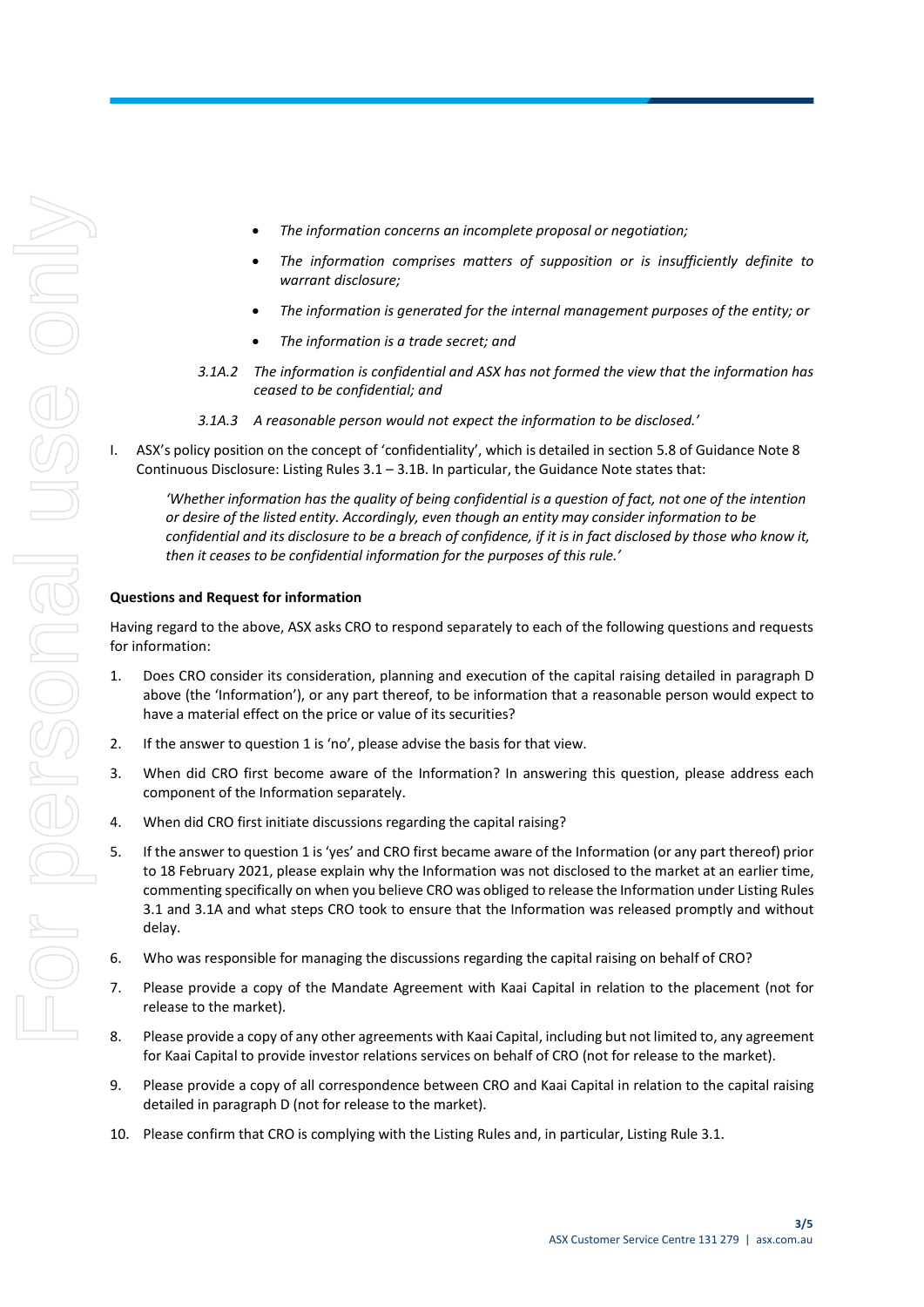- *The information concerns an incomplete proposal or negotiation;*
- *The information comprises matters of supposition or is insufficiently definite to warrant disclosure;*
- *The information is generated for the internal management purposes of the entity; or*
- *The information is a trade secret; and*
- *3.1A.2 The information is confidential and ASX has not formed the view that the information has ceased to be confidential; and*
- *3.1A.3 A reasonable person would not expect the information to be disclosed.'*
- I. ASX's policy position on the concept of 'confidentiality', which is detailed in section 5.8 of Guidance Note 8 Continuous Disclosure: Listing Rules  $3.1 - 3.1B$ . In particular, the Guidance Note states that:

*'Whether information has the quality of being confidential is a question of fact, not one of the intention or desire of the listed entity. Accordingly, even though an entity may consider information to be confidential and its disclosure to be a breach of confidence, if it is in fact disclosed by those who know it, then it ceases to be confidential information for the purposes of this rule.'*

# **Questions and Request for information**

Having regard to the above, ASX asks CRO to respond separately to each of the following questions and requests for information:

- <span id="page-6-0"></span>1. Does CRO consider its consideration, planning and execution of the capital raising detailed in paragraph D above (the 'Information'), or any part thereof, to be information that a reasonable person would expect to have a material effect on the price or value of its securities?
- 2. If the answer to questio[n 1](#page-6-0) is 'no', please advise the basis for that view.
- 3. When did CRO first become aware of the Information? In answering this question, please address each component of the Information separately.
- 4. When did CRO first initiate discussions regarding the capital raising?
- 5. If the answer to questio[n 1](#page-6-0) is 'yes' and CRO first became aware of the Information (or any part thereof) prior to 18 February 2021, please explain why the Information was not disclosed to the market at an earlier time, commenting specifically on when you believe CRO was obliged to release the Information under Listing Rules 3.1 and 3.1A and what steps CRO took to ensure that the Information was released promptly and without delay.
- 6. Who was responsible for managing the discussions regarding the capital raising on behalf of CRO?
- 7. Please provide a copy of the Mandate Agreement with Kaai Capital in relation to the placement (not for release to the market).
- 8. Please provide a copy of any other agreements with Kaai Capital, including but not limited to, any agreement for Kaai Capital to provide investor relations services on behalf of CRO (not for release to the market).
- 9. Please provide a copy of all correspondence between CRO and Kaai Capital in relation to the capital raising detailed in paragraph D (not for release to the market).
- 10. Please confirm that CRO is complying with the Listing Rules and, in particular, Listing Rule 3.1.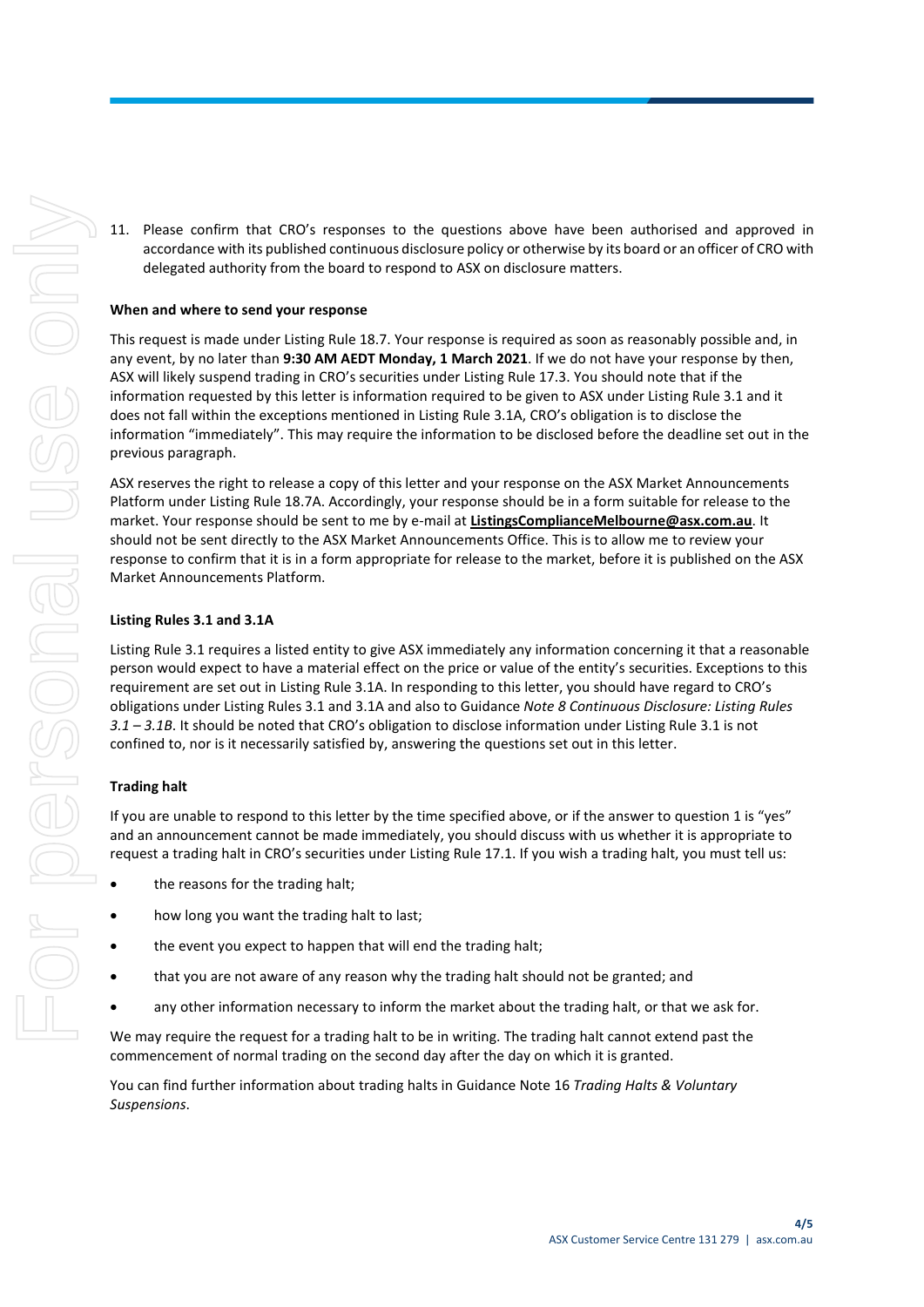11. Please confirm that CRO's responses to the questions above have been authorised and approved in accordance with its published continuous disclosure policy or otherwise by its board or an officer of CRO with delegated authority from the board to respond to ASX on disclosure matters.

## **When and where to send your response**

This request is made under Listing Rule 18.7. Your response is required as soon as reasonably possible and, in any event, by no later than **9:30 AM AEDT Monday, 1 March 2021**. If we do not have your response by then, ASX will likely suspend trading in CRO's securities under Listing Rule 17.3. You should note that if the information requested by this letter is information required to be given to ASX under Listing Rule 3.1 and it does not fall within the exceptions mentioned in Listing Rule 3.1A, CRO's obligation is to disclose the information "immediately". This may require the information to be disclosed before the deadline set out in the previous paragraph.

ASX reserves the right to release a copy of this letter and your response on the ASX Market Announcements Platform under Listing Rule 18.7A. Accordingly, your response should be in a form suitable for release to the market. Your response should be sent to me by e-mail at **ListingsComplianceMelbourne@asx.com.au**. It should not be sent directly to the ASX Market Announcements Office. This is to allow me to review your response to confirm that it is in a form appropriate for release to the market, before it is published on the ASX Market Announcements Platform.

## **Listing Rules 3.1 and 3.1A**

Listing Rule 3.1 requires a listed entity to give ASX immediately any information concerning it that a reasonable person would expect to have a material effect on the price or value of the entity's securities. Exceptions to this requirement are set out in Listing Rule 3.1A. In responding to this letter, you should have regard to CRO's obligations under Listing Rules 3.1 and 3.1A and also to Guidance *Note 8 Continuous Disclosure: Listing Rules 3.1 – 3.1B*. It should be noted that CRO's obligation to disclose information under Listing Rule 3.1 is not confined to, nor is it necessarily satisfied by, answering the questions set out in this letter.

#### **Trading halt**

If you are unable to respond to this letter by the time specified above, or if the answer to question 1 is "yes" and an announcement cannot be made immediately, you should discuss with us whether it is appropriate to request a trading halt in CRO's securities under Listing Rule 17.1. If you wish a trading halt, you must tell us:

- the reasons for the trading halt:
- how long you want the trading halt to last;
- the event you expect to happen that will end the trading halt;
- that you are not aware of any reason why the trading halt should not be granted; and
- any other information necessary to inform the market about the trading halt, or that we ask for.

We may require the request for a trading halt to be in writing. The trading halt cannot extend past the commencement of normal trading on the second day after the day on which it is granted.

You can find further information about trading halts in Guidance Note 16 *Trading Halts & Voluntary Suspensions*.